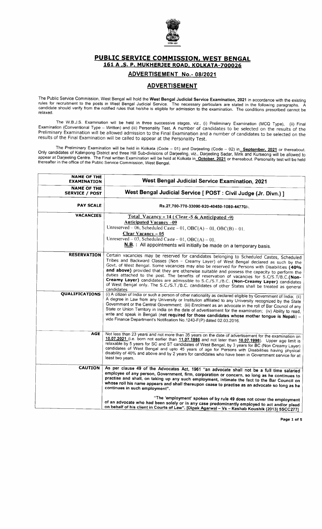

PUBLIC SERVICE COMMISSION, WEST BENGAL 161 A,S. P. MUKHERJEE ROAD, KOLKATA-7OOO26

## ADVERTISEMENT No.- 08/2021

## **ADVERTISEMENT**

The Public Service Commission, West Bengal will hold the **West Bengal Judicial Service Examination, 2021** in accordance with the existing<br>rules for recruitment to the posts in West Bengal Judicial Service. The necessary pa candidate should verify from the notified rules that he/she is eligible for admission to the examination. The conditions prescribed cannot be relaxed.

The W.B.J.S. Examination will be held in three successive stages, viz., (i) Preliminary Examination (MCa Type), (ii) Final Examination (Conventional Type – Written) and (iii) Personality Test. A number of candidates to be selected on the results of the<br>Preliminary Examination will be allowed admission to the Final Examination and a number of c

The Preliminary Examination will be held in Kolkata (Code – 01) and Darjeeling (Code – 02) in September, 2021 or thereabout.<br>Only candidates of Kalimpong District and three Hill Sub-divisions of Darjeeling, viz., Darjeelin appear at Darjeeling Centre. The Final written Examination will be held at Kolkata in<u>\_October, 2021</u> or thereabout. Personality test will be held<br>thereafter in the office of the Public Service Commission, West Bengal.

| <b>NAME OF THE</b><br><b>EXAMINATION</b>    | West Bengal Judicial Service Examination, 2021                                                                                                                                                                                                                                                                                                                                                                                                                                                                                                                                                                                                                                                 |  |  |
|---------------------------------------------|------------------------------------------------------------------------------------------------------------------------------------------------------------------------------------------------------------------------------------------------------------------------------------------------------------------------------------------------------------------------------------------------------------------------------------------------------------------------------------------------------------------------------------------------------------------------------------------------------------------------------------------------------------------------------------------------|--|--|
| <b>NAME OF THE</b><br><b>SERVICE / POST</b> | West Bengal Judicial Service [ POST : Civil Judge (Jr. Divn.) ]                                                                                                                                                                                                                                                                                                                                                                                                                                                                                                                                                                                                                                |  |  |
| <b>PAY SCALE</b>                            | Rs.27,700-770-33090-920-40450-1080-44770/-.                                                                                                                                                                                                                                                                                                                                                                                                                                                                                                                                                                                                                                                    |  |  |
| <b>VACANCIES</b>                            | Total Vacancy - 14 (Clear - 5 & Anticipated - 9)<br><b>Anticipated Vacancy -09</b><br>Unreserved -- 06, Scheduled Caste -- 01, OBC(A) -- 01, OBC(B) -- 01.<br>Clear Vacancy - 05<br>Unreserved - 03, Scheduled Caste - 01, OBC(A) - 01.<br>N.B. : All appointments will initially be made on a temporary basis.                                                                                                                                                                                                                                                                                                                                                                                |  |  |
| <b>RESERVATION</b>                          | Certain vacancies may be reserved for candidates belonging to Scheduled Castes, Scheduled<br>Tribes and Backward Classes (Non - Creamy Layer) of West Bengal declared as such by the<br>Govt. of West Bengal. Some vacancies may also be reserved for Persons with Disabilities (40%<br>and above) provided that they are otherwise suitable and possess the capacity to perform the<br>duties attached to the post. The benefits of reservation of vacancies for S.C/S.T/B.C.(Non-<br>Creamy Layer) candidates are admissible to S.C./S.T./B.C. (Non-Creamy Layer) candidates<br>of West Bengal only. The S.C./S.T./B.C. candidates of other States shall be treated as general<br>candidates |  |  |
| QUALIFICATIONS                              | (i) A citizen of India or such a person of other nationality as declared eligible by Government of India; (ii)<br>A degree in Law from any University or Institution affiliated to any University recognized by the State<br>Government or the Central Government; (iii) Enrolment as an advocate in the roll of Bar Council of any<br>State or Union Territory in India on the date of advertisement for the examination; (iv) Ability to read,<br>write and speak in Bengali (not required for those candidates whose mother tongue is Nepali) -<br>vide Finance Department's Notification No.1243-F(P) dated 02.03.2016.                                                                    |  |  |
| <b>AGE</b>                                  | Not less than 23 years and not more than 35 years on the date of advertisement for the examination on<br>10.07.2021 (i.e. born not earlier than 11.07.1986 and not later than 10.07.1998). Upper age limit is<br>relaxable by 5 years for SC and ST candidates of West Bengal, by 3 years for BC (Non Creamy Layer)<br>candidates of West Bengal and upto 45 years of age for Persons with Disabilities having physical<br>disability of 40% and above and by 2 years for candidates who have been in Government service for at<br>least two years.                                                                                                                                            |  |  |
| <b>CAUTION</b>                              | As per clause 49 of the Advocates Act, 1961 "an advocate shall not be a full time salaried<br>employee of any person, Government, firm, corporation or concern, so long as he continues to<br>practise and shall, on taking up any such employment, intimate the fact to the Bar Council on<br>whose roll his name appears and shall thereupon cease to practise as an advocate so long as he<br>continues in such employment".                                                                                                                                                                                                                                                                |  |  |
|                                             | "The 'employment' spoken of by rule 49 does not cover the employment<br>of an advocate who had been solely or in any case predominantly employed to act and/or plead<br>on behalf of his client in Courts of Law". [Dipak Agarwal - Vs - Keshab Koushik (2013) 5SCC277]                                                                                                                                                                                                                                                                                                                                                                                                                        |  |  |

Page 1 of 5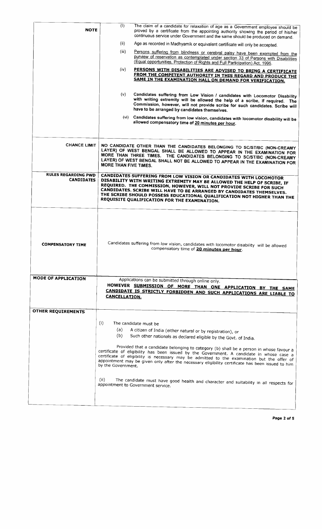| <b>NOTE</b>                                     | (1)                                                                                                                                                                                                                                                                                                                                                                                                                     | The claim of a candidate for relaxation of age as a Government employee should be<br>proved by a certificate from the appointing authority showing the period of his/her<br>continuous service under Government and the same should be produced on demand.                                                                                                                                                                                                                                                                                                                                                                                                                        |  |  |  |  |
|-------------------------------------------------|-------------------------------------------------------------------------------------------------------------------------------------------------------------------------------------------------------------------------------------------------------------------------------------------------------------------------------------------------------------------------------------------------------------------------|-----------------------------------------------------------------------------------------------------------------------------------------------------------------------------------------------------------------------------------------------------------------------------------------------------------------------------------------------------------------------------------------------------------------------------------------------------------------------------------------------------------------------------------------------------------------------------------------------------------------------------------------------------------------------------------|--|--|--|--|
|                                                 | (ii)                                                                                                                                                                                                                                                                                                                                                                                                                    | Age as recorded in Madhyamik or equivalent certificate will only be accepted.                                                                                                                                                                                                                                                                                                                                                                                                                                                                                                                                                                                                     |  |  |  |  |
|                                                 | (iii)                                                                                                                                                                                                                                                                                                                                                                                                                   | Persons suffering from blindness or cerebral palsy have been exempted from the<br>purview of reservation as contemplated under section 33 of Persons with Disabilities<br>(Equal opportunities, Protection of Rights and Full Participation) Act, 1995.                                                                                                                                                                                                                                                                                                                                                                                                                           |  |  |  |  |
|                                                 | (iv)                                                                                                                                                                                                                                                                                                                                                                                                                    | PERSONS WITH DISABILITIES ARE ADVISED TO BRING A CERTIFICATE<br>FROM THE COMPETENT AUTHORITY IN THIS REGARD AND PRODUCE THE<br>SAME IN THE EXAMINATION HALL ON DEMAND FOR VERIFICATION.                                                                                                                                                                                                                                                                                                                                                                                                                                                                                           |  |  |  |  |
|                                                 | (v)<br>Candidates suffering from Low Vision / candidates with Locomotor Disability<br>with writing extremity will be allowed the help of a scribe, if required. The<br>Commission, however, will not provide scribe for such candidates. Scribe will<br>have to be arranged by candidates themselves.                                                                                                                   |                                                                                                                                                                                                                                                                                                                                                                                                                                                                                                                                                                                                                                                                                   |  |  |  |  |
|                                                 |                                                                                                                                                                                                                                                                                                                                                                                                                         | (vi) Candidates suffering from low vision, candidates with locomotor disability will be<br>allowed compensatory time of 20 minutes per hour.                                                                                                                                                                                                                                                                                                                                                                                                                                                                                                                                      |  |  |  |  |
| <b>CHANCE LIMIT</b>                             | NO CANDIDATE OTHER THAN THE CANDIDATES BELONGING TO SC/ST/BC (NON-CREAMY<br>LAYER) OF WEST BENGAL SHALL BE ALLOWED TO APPEAR IN THE EXAMINATION FOR<br>MORE THAN THREE TIMES. THE CANDIDATES BELONGING TO SC/ST/BC (NON-CREAMY<br>LAYER) OF WEST BENGAL SHALL NOT BE ALLOWED TO APPEAR IN THE EXAMINATION FOR<br>MORE THAN FIVE TIMES.                                                                                  |                                                                                                                                                                                                                                                                                                                                                                                                                                                                                                                                                                                                                                                                                   |  |  |  |  |
| <b>RULES REGARDING PWD</b><br><b>CANDIDATES</b> | CANDIDATES SUFFERING FROM LOW VISION OR CANDIDATES WITH LOCOMOTOR<br>DISABILITY WITH WRITING EXTREMITY MAY BE ALLOWED THE HELP OF SCRIBE, IF<br>REQUIRED. THE COMMISSION, HOWEVER, WILL NOT PROVIDE SCRIBE FOR SUCH<br>CANDIDATES. SCRIBE WILL HAVE TO BE ARRANGED BY CANDIDATES THEMSELVES.<br>THE SCRIBE SHOULD POSSESS EDUCATIONAL QUALIFICATION NOT HIGHER THAN THE<br>REQUISITE QUALIFICATION FOR THE EXAMINATION. |                                                                                                                                                                                                                                                                                                                                                                                                                                                                                                                                                                                                                                                                                   |  |  |  |  |
| <b>COMPENSATORY TIME</b>                        | Candidates suffering from low vision, candidates with locomotor disability will be allowed<br>compensatory time of 20 minutes per hour.                                                                                                                                                                                                                                                                                 |                                                                                                                                                                                                                                                                                                                                                                                                                                                                                                                                                                                                                                                                                   |  |  |  |  |
| <b>MODE OF APPLICATION</b>                      | <b>CANCELLATION.</b>                                                                                                                                                                                                                                                                                                                                                                                                    | Applications can be submitted through online only.<br>HOWEVER SUBMISSION OF MORE THAN ONE APPLICATION BY THE SAME<br>CANDIDATE IS STRICTLY FORBIDDEN AND SUCH APPLICATIONS ARE LIABLE TO                                                                                                                                                                                                                                                                                                                                                                                                                                                                                          |  |  |  |  |
| <b>OTHER REQUIREMENTS</b>                       |                                                                                                                                                                                                                                                                                                                                                                                                                         |                                                                                                                                                                                                                                                                                                                                                                                                                                                                                                                                                                                                                                                                                   |  |  |  |  |
|                                                 | (i)<br>(a)<br>(b)<br>by the Government.<br>(ii)                                                                                                                                                                                                                                                                                                                                                                         | The candidate must be<br>A citizen of India (either natural or by registration), or<br>Such other nationals as declared eligible by the Govt. of India.<br>Provided that a candidate belonging to category (b) shall be a person in whose favour a<br>certificate of eligibility has been issued by the Government. A candidate in whose case a<br>certificate of eligibility is necessary may be admitted to the examination but the offer of<br>appointment may be given only after the necessary eligibility certificate has been issued to him<br>The candidate must have good health and character and suitability in all respects for<br>appointment to Government service. |  |  |  |  |
|                                                 |                                                                                                                                                                                                                                                                                                                                                                                                                         |                                                                                                                                                                                                                                                                                                                                                                                                                                                                                                                                                                                                                                                                                   |  |  |  |  |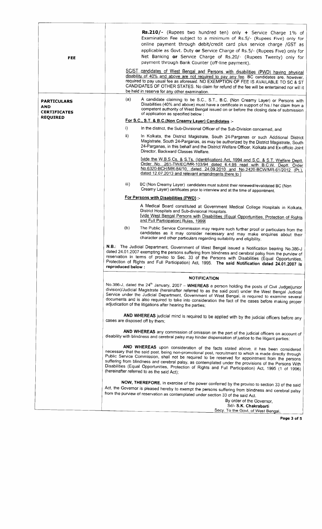| <b>FEE</b>                                       | Rs.210/- (Rupees two hundred ten) only + Service Charge 1% of<br>Examination Fee subject to a minimum of Rs.5/- (Rupees Five) only for<br>online payment through debit/credit card plus service charge /GST as<br>applicable as Govt. Duty or Service Charge of Rs.5/- (Rupees Five) only for<br>Net Banking or Service Charge of Rs.20/- (Rupees Twenty) only for<br>payment through Bank Counter (off-line payment).<br>SC/ST candidates of West Bengal and Persons with disabilities (PWD) having physical<br>disability of 40% and above are not required to pay any fee. BC candidates are, however,<br>required to pay usual fee as aforesaid. NO EXEMPTION OF FEE IS AVAILABLE TO SC & ST |  |  |  |  |  |
|--------------------------------------------------|--------------------------------------------------------------------------------------------------------------------------------------------------------------------------------------------------------------------------------------------------------------------------------------------------------------------------------------------------------------------------------------------------------------------------------------------------------------------------------------------------------------------------------------------------------------------------------------------------------------------------------------------------------------------------------------------------|--|--|--|--|--|
|                                                  | CANDIDATES OF OTHER STATES. No claim for refund of the fee will be entertained nor will it<br>be held in reserve for any other examination.                                                                                                                                                                                                                                                                                                                                                                                                                                                                                                                                                      |  |  |  |  |  |
| <b>PARTICULARS</b><br>AND<br><b>CERTIFICATES</b> | (a)<br>A candidate claiming to be S.C., S.T., B.C. (Non Creamy Layer) or Persons with<br>Disabilities (40% and above) must have a certificate in support of his / her claim from a<br>competent authority of West Bengal issued on or before the closing date of submission<br>of application as specified below :                                                                                                                                                                                                                                                                                                                                                                               |  |  |  |  |  |
| <b>REQUIRED</b>                                  | For S.C., S.T. & B.C.(Non Creamy Layer) Candidates :-                                                                                                                                                                                                                                                                                                                                                                                                                                                                                                                                                                                                                                            |  |  |  |  |  |
|                                                  | i)<br>In the district, the Sub-Divisional Officer of the Sub-Division concerned, and                                                                                                                                                                                                                                                                                                                                                                                                                                                                                                                                                                                                             |  |  |  |  |  |
|                                                  | ii)<br>In Kolkata, the District Magistrate, South 24-Parganas or such Additional District<br>Magistrate, South 24-Parganas, as may be authorized by the District Magistrate, South<br>24-Parganas, in this behalf and the District Welfare Officer, Kolkata and Ex-officio Joint<br>Director, Backward Classes Welfare.                                                                                                                                                                                                                                                                                                                                                                          |  |  |  |  |  |
|                                                  | [vide the W.B.S.Cs. & S.Ts. (Identification) Act, 1994 and S.C. & S.T. Welfare Deptt.<br>Order No. 261-TW/EC/MR-103/94 dated 6.4.95 read with B.C.W. Deptt. Order<br>No.6320-BCH/MR-84/10, dated 24.09.2010 and No.2420-BCW/MR-61/2012 (Pt.),<br>dated 12.07.2013 and relevant amendments there to ]                                                                                                                                                                                                                                                                                                                                                                                             |  |  |  |  |  |
|                                                  | iii).<br>BC (Non Creamy Layer) candidates must submit their renewed/revalidated BC (Non<br>Creamy Layer) certificates prior to interview and at the time of appointment.                                                                                                                                                                                                                                                                                                                                                                                                                                                                                                                         |  |  |  |  |  |
|                                                  | For Persons with Disabilities (PWD) :-                                                                                                                                                                                                                                                                                                                                                                                                                                                                                                                                                                                                                                                           |  |  |  |  |  |
|                                                  | A Medical Board constituted at Government Medical College Hospitals in Kolkata,<br>District Hospitals and Sub-divisional Hospitals.<br>[vide West Bengal Persons with Disabilities (Equal Opportunities, Protection of Rights<br>and Full Participation) Rules, 1999]                                                                                                                                                                                                                                                                                                                                                                                                                            |  |  |  |  |  |
|                                                  | (b)<br>The Public Service Commission may require such further proof or particulars from the<br>candidates as it may consider necessary and may make enquiries about their<br>character and other particulars regarding suitability and eligibility.                                                                                                                                                                                                                                                                                                                                                                                                                                              |  |  |  |  |  |
|                                                  | N.B.: The Judicial Department, Government of West Bengal issued a Notification bearing No.386-J<br>dated 24.01.2007 exempting the persons suffering from blindness and cerebral palsy from the purview of<br>reservation in terms of proviso to Sec. 33 of the Persons with Disabilities (Equal Opportunities,<br>Protection of Rights and Full Participation) Act, 1995. The said Notification dated 24.01.2007 is<br>reproduced below :<br><b>NOTIFICATION</b>                                                                                                                                                                                                                                 |  |  |  |  |  |
|                                                  |                                                                                                                                                                                                                                                                                                                                                                                                                                                                                                                                                                                                                                                                                                  |  |  |  |  |  |
|                                                  | No.386-J, dated the 24 <sup>th</sup> January, 2007 - WHEREAS a person holding the posts of Civil Judge(junior<br>division)/Judicial Magistrate (hereinafter referred to as the said post) under the West Bengal Judicial<br>Service under the Judicial Department, Government of West Bengal, is required to examine several<br>documents and is also required to take into consideration the fact of the cases before making proper<br>adjudication of the litigations after hearing the parties;                                                                                                                                                                                               |  |  |  |  |  |
|                                                  | AND WHEREAS judicial mind is required to be applied with by the judicial officers before any<br>cases are disposed off by them;                                                                                                                                                                                                                                                                                                                                                                                                                                                                                                                                                                  |  |  |  |  |  |
|                                                  | AND WHEREAS any commission of omission on the part of the judicial officers on account of<br>disability with blindness and cerebral palsy may hinder dispensation of justice to the litigant parties;                                                                                                                                                                                                                                                                                                                                                                                                                                                                                            |  |  |  |  |  |
|                                                  | AND WHEREAS upon consideration of the facts stated above, it has been considered<br>necessary that the said post, being non-promotional post, recruitment to which is made directly through<br>Public Service Commission, shall not be required to be reserved for appointment from the persons<br>suffering from blindness and cerebral palsy, as contemplated under the provisions of the Persons With<br>Disabilities (Equal Opportunities, Protection of Rights and Full Participation) Act, 1995 (1 of 1996)<br>(hereinafter referred to as the said Act);                                                                                                                                  |  |  |  |  |  |
|                                                  | NOW, THEREFORE, in exercise of the power conferred by the proviso to section 33 of the said<br>Act, the Governor is pleased hereby to exempt the persons suffering from blindness and cerebral palsy<br>from the purview of reservation as contemplated under section 33 of the said Act.<br>By order of the Governor,<br>Sd/- S.K. Chakrabarti                                                                                                                                                                                                                                                                                                                                                  |  |  |  |  |  |

To the Govt. of West

Page 3 of 5

 $\Box$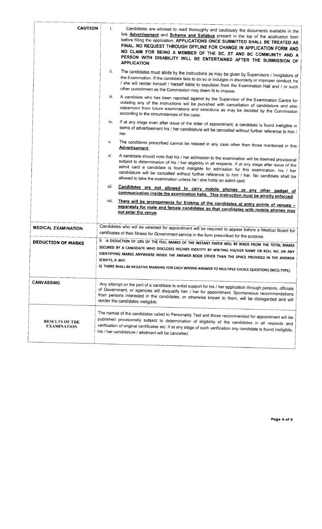| <b>CAUTION</b>                              | i.                                                                                                                                                                                                    | Candidates are advised to read thoroughly and cautiously the documents available in the<br>link <b>Advertisement</b> and <b>Scheme and Syllabus</b> present in the top of the application form<br>before filling the application. APPLICATIONS ONCE SUBMITTED SHALL BE TREATED AS<br>FINAL. NO REQUEST THROUGH OFFLINE FOR CHANGE IN APPLICATION FORM AND<br>NO CLAIM FOR BEING A MEMBER OF THE SC, ST AND BC COMMUNITY AND A<br>PERSON WITH DISABILITY WILL BE ENTERTAINED AFTER THE SUBMISSION OF<br><b>APPLICATION</b> |  |  |
|---------------------------------------------|-------------------------------------------------------------------------------------------------------------------------------------------------------------------------------------------------------|---------------------------------------------------------------------------------------------------------------------------------------------------------------------------------------------------------------------------------------------------------------------------------------------------------------------------------------------------------------------------------------------------------------------------------------------------------------------------------------------------------------------------|--|--|
|                                             | ii.                                                                                                                                                                                                   | The candidates must abide by the instructions as may be given by Supervisors / Invigilators of<br>the Examination. If the candidate fails to do so or indulges in disorderly or improper conduct, he<br>/ she will render himself / herself liable to expulsion from the Examination Hall and / or such<br>other punishment as the Commission may deem fit to impose.                                                                                                                                                     |  |  |
|                                             | iii.                                                                                                                                                                                                  | A candidate who has been reported against by the Supervisor of the Examination Centre for<br>violating any of the instructions will be punished with cancellation of candidature and also<br>debarment from future examinations and selections as may be decided by the Commission<br>according to the circumstances of the case.                                                                                                                                                                                         |  |  |
|                                             | iv.                                                                                                                                                                                                   | If at any stage even after issue of the letter of appointment, a candidate is found ineligible in<br>terms of advertisement his / her candidature will be cancelled without further reference to him $\sqrt{\frac{1}{n}}$<br>her.                                                                                                                                                                                                                                                                                         |  |  |
|                                             | v.                                                                                                                                                                                                    | The conditions prescribed cannot be relaxed in any case other than those mentioned in this<br><b>Advertisement.</b>                                                                                                                                                                                                                                                                                                                                                                                                       |  |  |
|                                             | vi.                                                                                                                                                                                                   | A candidate should note that his / her admission to the examination will be deemed provisional<br>subject to determination of his / her eligibility in all respects. If at any stage after issue of the<br>admit card a candidate is found ineligible for admission for this examination, his / her<br>candidature will be cancelled without further reference to him / her. No candidate shall be<br>allowed to take the examination unless he / she holds an admit card.                                                |  |  |
|                                             | vii.                                                                                                                                                                                                  | Candidates are not allowed to carry mobile phones or any other gadget of<br>communication inside the examination halls. This instruction must be strictly enforced.                                                                                                                                                                                                                                                                                                                                                       |  |  |
|                                             | viii.                                                                                                                                                                                                 | There will be arrangements for frisking of the candidates at entry points of venues -<br>separately for male and female candidates so that candidates with mobile phones may<br>not enter the venue.                                                                                                                                                                                                                                                                                                                      |  |  |
| <b>MEDICAL EXAMINATION</b>                  | Candidates who will be selected for appointment will be required to appear before a Medical Board for<br>certificates of their fitness for Government service in the form prescribed for the purpose. |                                                                                                                                                                                                                                                                                                                                                                                                                                                                                                                           |  |  |
| <b>DEDUCTION OF MARKS</b>                   | SCRIPTS, IF ANY.                                                                                                                                                                                      | i) A DEDUCTION OF 10% OF THE FULL MARKS OF THE INSTANT PAPER WILL BE MADE FROM THE TOTAL MARKS<br>SECURED BY A CANDIDATE WHO DISCLOSES HIS/HER IDENTITY BY WRITING HIS/HER NAME OR ROLL NO. OR ANY<br>IDENTIFYING MARKS ANYWHERE INSIDE THE ANSWER BOOK OTHER THAN THE SPACE PROVIDED IN THE ANSWER<br>ii) THERE SHALL BE NEGATIVE MARKING FOR EACH WRONG ANSWER TO MULTIPLE CHOICE QUESTIONS (MCQ TYPE).                                                                                                                 |  |  |
| <b>CANVASSING</b>                           |                                                                                                                                                                                                       | Any attempt on the part of a candidate to enlist support for his / her application through persons, officials<br>of Government, or agencies will disqualify him / her for appointment. Spontaneous recommendations<br>from persons interested in the candidates, or otherwise known to them, will be disregarded and will<br>render the candidates ineligible.                                                                                                                                                            |  |  |
| <b>RESULTS OF THE</b><br><b>EXAMINATION</b> |                                                                                                                                                                                                       | The names of the candidates called to Personality Test and those recommended for appointment will be<br>published provisionally subject to determination of eligibility of the candidates in all respects and<br>verification of original certificates etc. If at any stage of such verification any candidate is found ineligible,<br>his / her candidature / allotment will be cancelled.                                                                                                                               |  |  |